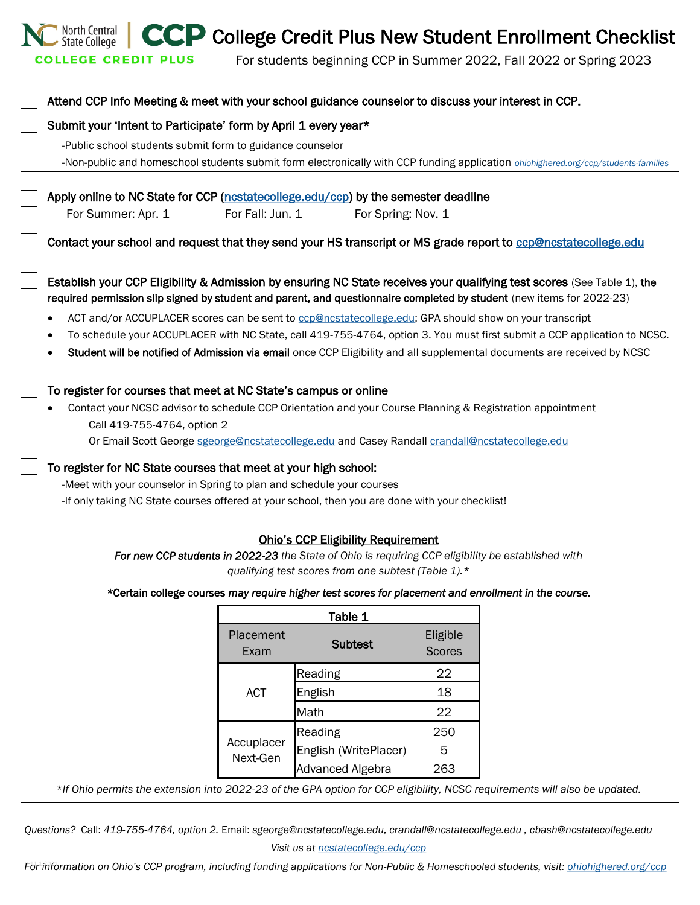CCP College Credit Plus New Student Enrollment Checklist

For students beginning CCP in Summer 2022, Fall 2022 or Spring 2023

| Attend CCP Info Meeting & meet with your school guidance counselor to discuss your interest in CCP.                                                                                                                                                                                                                                                                                                                                                                                                                                                                                                                                          |  |  |
|----------------------------------------------------------------------------------------------------------------------------------------------------------------------------------------------------------------------------------------------------------------------------------------------------------------------------------------------------------------------------------------------------------------------------------------------------------------------------------------------------------------------------------------------------------------------------------------------------------------------------------------------|--|--|
| Submit your 'Intent to Participate' form by April 1 every year*                                                                                                                                                                                                                                                                                                                                                                                                                                                                                                                                                                              |  |  |
| -Public school students submit form to guidance counselor<br>-Non-public and homeschool students submit form electronically with CCP funding application <i>ohiohighered.org/ccp/students-families</i>                                                                                                                                                                                                                                                                                                                                                                                                                                       |  |  |
| Apply online to NC State for CCP (nestatecollege.edu/ccp) by the semester deadline<br>For Summer: Apr. 1<br>For Fall: Jun. 1<br>For Spring: Nov. 1                                                                                                                                                                                                                                                                                                                                                                                                                                                                                           |  |  |
| Contact your school and request that they send your HS transcript or MS grade report to cop@nostatecollege.edu                                                                                                                                                                                                                                                                                                                                                                                                                                                                                                                               |  |  |
| Establish your CCP Eligibility & Admission by ensuring NC State receives your qualifying test scores (See Table 1), the<br>required permission slip signed by student and parent, and questionnaire completed by student (new items for 2022-23)<br>ACT and/or ACCUPLACER scores can be sent to ccp@ncstatecollege.edu; GPA should show on your transcript<br>$\bullet$<br>To schedule your ACCUPLACER with NC State, call 419-755-4764, option 3. You must first submit a CCP application to NCSC.<br>Student will be notified of Admission via email once CCP Eligibility and all supplemental documents are received by NCSC<br>$\bullet$ |  |  |
| To register for courses that meet at NC State's campus or online<br>Contact your NCSC advisor to schedule CCP Orientation and your Course Planning & Registration appointment<br>Call 419-755-4764, option 2<br>Or Email Scott George sgeorge@ncstatecollege.edu and Casey Randall crandall@ncstatecollege.edu                                                                                                                                                                                                                                                                                                                               |  |  |
| To register for NC State courses that meet at your high school:<br>-Meet with your counselor in Spring to plan and schedule your courses<br>-If only taking NC State courses offered at your school, then you are done with your checklist!                                                                                                                                                                                                                                                                                                                                                                                                  |  |  |

North Central<br>State College

**COLLEGE CREDIT PLUS** 

## Ohio's CCP Eligibility Requirement

*For new CCP students in 2022-23 the State of Ohio is requiring CCP eligibility be established with qualifying test scores from one subtest (Table 1).\** 

*\**Certain college courses *may require higher test scores for placement and enrollment in the course.* 

| Table 1                |                         |                           |  |
|------------------------|-------------------------|---------------------------|--|
| Placement<br>Exam      | <b>Subtest</b>          | Eligible<br><b>Scores</b> |  |
|                        | Reading                 | 22                        |  |
| <b>ACT</b>             | English                 | 18                        |  |
|                        | Math                    | 22                        |  |
|                        | Reading                 | 250                       |  |
| Accuplacer<br>Next-Gen | English (WritePlacer)   | 5                         |  |
|                        | <b>Advanced Algebra</b> | 263                       |  |

*\*If Ohio permits the extension into 2022-23 of the GPA option for CCP eligibility, NCSC requirements will also be updated.* 

*Questions?* Call: *419-755-4764, option 2.* Email: *sgeorge@ncstatecollege.edu, crandall@ncstatecollege.edu , cbash@ncstatecollege.edu*

For information on Ohio's CCP program, including funding applications for Non-Public & Homeschooled students, visit: *[ohiohighered.org/ccp](https://www.ohiohighered.org/collegecreditplus)*